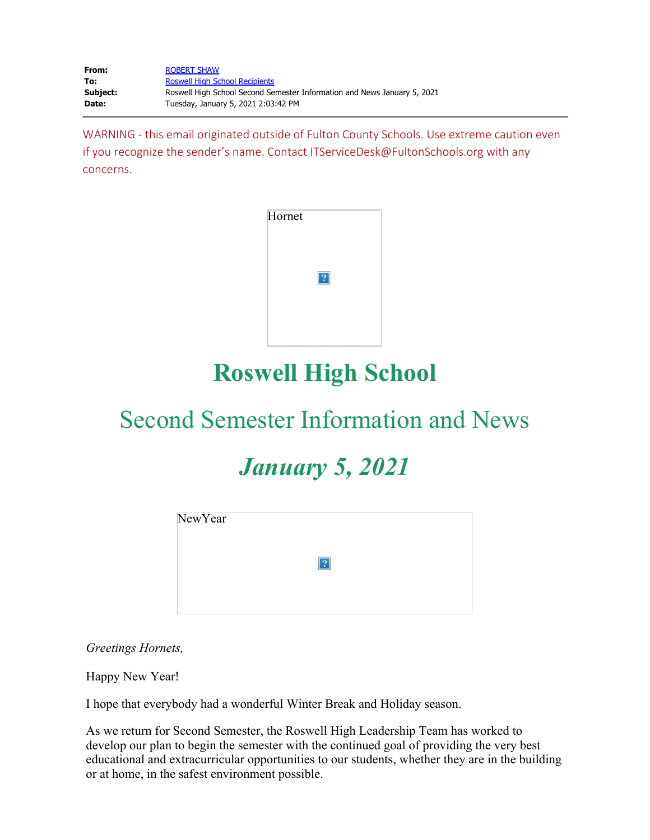| From:    | <b>ROBERT SHAW</b>                                                       |
|----------|--------------------------------------------------------------------------|
| To:      | <b>Roswell High School Recipients</b>                                    |
| Subject: | Roswell High School Second Semester Information and News January 5, 2021 |
| Date:    | Tuesday, January 5, 2021 2:03:42 PM                                      |

WARNING - this email originated outside of Fulton County Schools. Use extreme caution even if you recognize the sender's name. Contact ITServiceDesk@FultonSchools.org with any concerns.



# **Roswell High School**

# Second Semester Information and News

# *January 5, 2021*

| NewYear |   |  |
|---------|---|--|
|         | 2 |  |
|         |   |  |
|         |   |  |

*Greetings Hornets,* 

Happy New Year!

I hope that everybody had a wonderful Winter Break and Holiday season.

As we return for Second Semester, the Roswell High Leadership Team has worked to develop our plan to begin the semester with the continued goal of providing the very best educational and extracurricular opportunities to our students, whether they are in the building or at home, in the safest environment possible.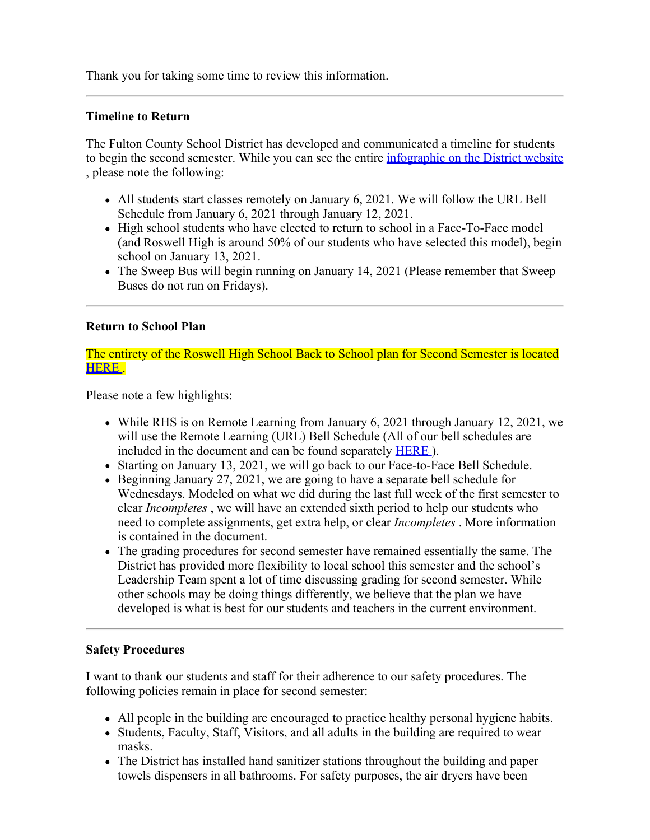Thank you for taking some time to review this information.

#### **Timeline to Return**

The Fulton County School District has developed and communicated a timeline for students to begin the second semester. While you can see the entire *[infographic](https://www.fultonschools.org/cms/lib/GA50000114/Centricity/Domain/228/return%20to%20second%20semester_FINAL.pdf)* on the District website , please note the following:

- All students start classes remotely on January 6, 2021. We will follow the URL Bell Schedule from January 6, 2021 through January 12, 2021.
- High school students who have elected to return to school in a Face-To-Face model (and Roswell High is around 50% of our students who have selected this model), begin school on January 13, 2021.
- The Sweep Bus will begin running on January 14, 2021 (Please remember that Sweep Buses do not run on Fridays).

### **Return to School Plan**

The entirety of the Roswell High School Back to School plan for Second Semester is located [HERE](https://nam11.safelinks.protection.outlook.com/?url=http%3A%2F%2Fnew.shawadmin.com%2FRoswell%2FPublic%2FF2FPlan1-13-21.pdf&data=04%7C01%7Cmurphys%40fultonschools.org%7C869fc3b9ff974d4ccabf08d8b1ac9b3f%7C0cdcb19881694b70ba9fda7e3ba700c2%7C1%7C0%7C637454702215769537%7CUnknown%7CTWFpbGZsb3d8eyJWIjoiMC4wLjAwMDAiLCJQIjoiV2luMzIiLCJBTiI6Ik1haWwiLCJXVCI6Mn0%3D%7C1000&sdata=%2F8EF5qcFzRstaF%2B51Ae5yUieBTGwmbHGvbVrj2fWtP8%3D&reserved=0) .

Please note a few highlights:

- While RHS is on Remote Learning from January 6, 2021 through January 12, 2021, we will use the Remote Learning (URL) Bell Schedule (All of our bell schedules are included in the document and can be found separately [HERE](https://nam11.safelinks.protection.outlook.com/?url=http%3A%2F%2Fnew.shawadmin.com%2FRoswell%2FPublic%2Fbellschedules.pdf&data=04%7C01%7Cmurphys%40fultonschools.org%7C869fc3b9ff974d4ccabf08d8b1ac9b3f%7C0cdcb19881694b70ba9fda7e3ba700c2%7C1%7C0%7C637454702215769537%7CUnknown%7CTWFpbGZsb3d8eyJWIjoiMC4wLjAwMDAiLCJQIjoiV2luMzIiLCJBTiI6Ik1haWwiLCJXVCI6Mn0%3D%7C1000&sdata=EwEEv0%2Bybzp63Pn8AkkqQA2Vy%2FvVUnJluvyJMfzf4a8%3D&reserved=0) ).
- Starting on January 13, 2021, we will go back to our Face-to-Face Bell Schedule.
- $\bullet$  Beginning January 27, 2021, we are going to have a separate bell schedule for Wednesdays. Modeled on what we did during the last full week of the first semester to clear *Incompletes* , we will have an extended sixth period to help our students who need to complete assignments, get extra help, or clear *Incompletes* . More information is contained in the document.
- The grading procedures for second semester have remained essentially the same. The District has provided more flexibility to local school this semester and the school's Leadership Team spent a lot of time discussing grading for second semester. While other schools may be doing things differently, we believe that the plan we have developed is what is best for our students and teachers in the current environment.

#### **Safety Procedures**

I want to thank our students and staff for their adherence to our safety procedures. The following policies remain in place for second semester:

- All people in the building are encouraged to practice healthy personal hygiene habits.
- Students, Faculty, Staff, Visitors, and all adults in the building are required to wear masks.
- The District has installed hand sanitizer stations throughout the building and paper towels dispensers in all bathrooms. For safety purposes, the air dryers have been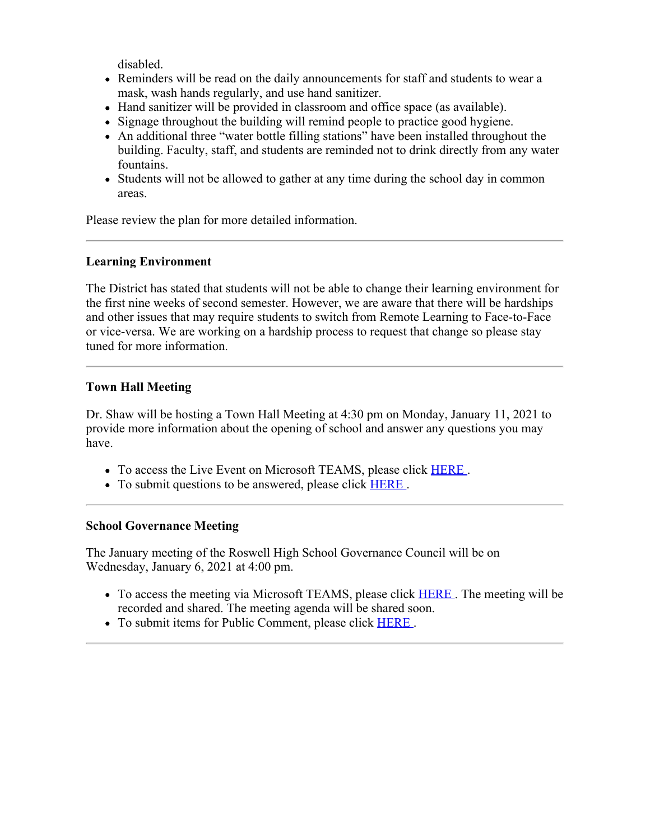disabled.

- Reminders will be read on the daily announcements for staff and students to wear a mask, wash hands regularly, and use hand sanitizer.
- Hand sanitizer will be provided in classroom and office space (as available).
- Signage throughout the building will remind people to practice good hygiene.
- An additional three "water bottle filling stations" have been installed throughout the building. Faculty, staff, and students are reminded not to drink directly from any water fountains.
- Students will not be allowed to gather at any time during the school day in common areas.

Please review the plan for more detailed information.

### **Learning Environment**

The District has stated that students will not be able to change their learning environment for the first nine weeks of second semester. However, we are aware that there will be hardships and other issues that may require students to switch from Remote Learning to Face-to-Face or vice-versa. We are working on a hardship process to request that change so please stay tuned for more information.

# **Town Hall Meeting**

Dr. Shaw will be hosting a Town Hall Meeting at 4:30 pm on Monday, January 11, 2021 to provide more information about the opening of school and answer any questions you may have.

- To access the Live Event on Microsoft TEAMS, please click **[HERE](https://teams.microsoft.com/l/meetup-join/19%3ameeting_NDM2ZDZiZjMtMzg4Ny00ZTUxLWExN2YtNTRjYzUwYjI1ZTMy%40thread.v2/0?context=%7b%22Tid%22%3a%220cdcb198-8169-4b70-ba9f-da7e3ba700c2%22%2c%22Oid%22%3a%2274f5f227-ca94-476d-8bd0-3d1613f1cb75%22%2c%22IsBroadcastMeeting%22%3atrue%7d)**.
- To submit questions to be answered, please click **[HERE](https://forms.office.com/Pages/ResponsePage.aspx?id=mLHcDGmBcEu6n9p-O6cAwify9XSUym1Hi9A9FhPxy3VURFE2WExFVEFKMlFPSzFaOUJRWUlURkxNUy4u)**.

#### **School Governance Meeting**

The January meeting of the Roswell High School Governance Council will be on Wednesday, January 6, 2021 at 4:00 pm.

- To access the meeting via Microsoft TEAMS, please click **[HERE](https://teams.microsoft.com/l/meetup-join/19%3ameeting_NGVjNWI4NDMtN2QyOC00ODk5LTg3MTQtNDQxMWEwODI0Zjg2%40thread.v2/0?context=%7b%22Tid%22%3a%220cdcb198-8169-4b70-ba9f-da7e3ba700c2%22%2c%22Oid%22%3a%2274f5f227-ca94-476d-8bd0-3d1613f1cb75%22%7d)**. The meeting will be recorded and shared. The meeting agenda will be shared soon.
- To submit items for Public Comment, please click **[HERE](https://forms.office.com/Pages/ResponsePage.aspx?id=mLHcDGmBcEu6n9p-O6cAwify9XSUym1Hi9A9FhPxy3VURFE2WExFVEFKMlFPSzFaOUJRWUlURkxNUy4u)**.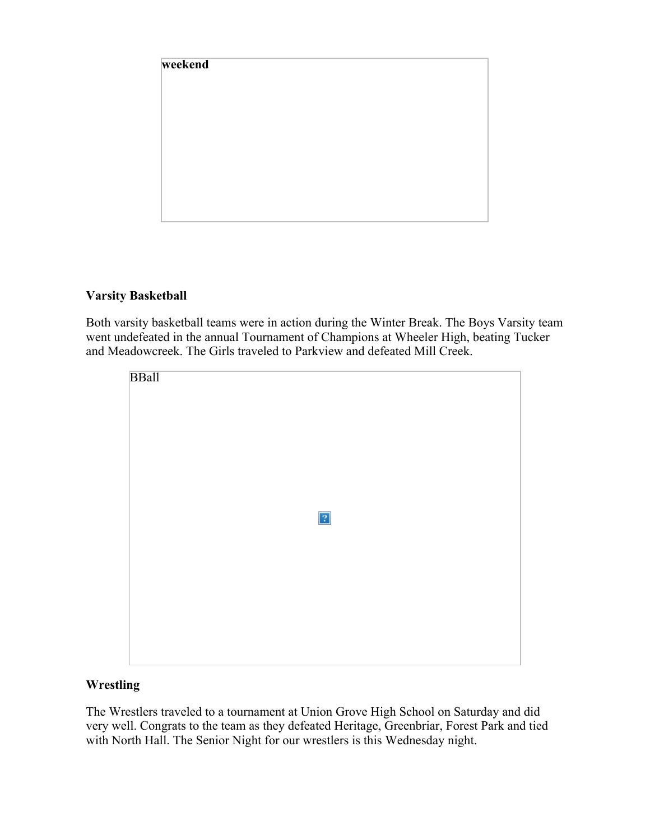

# **Varsity Basketball**

Both varsity basketball teams were in action during the Winter Break. The Boys Varsity team went undefeated in the annual Tournament of Champions at Wheeler High, beating Tucker and Meadowcreek. The Girls traveled to Parkview and defeated Mill Creek.

| <b>BBall</b> |             |  |
|--------------|-------------|--|
|              |             |  |
|              |             |  |
|              |             |  |
|              | $\boxed{?}$ |  |
|              |             |  |
|              |             |  |
|              |             |  |
|              |             |  |

# **Wrestling**

The Wrestlers traveled to a tournament at Union Grove High School on Saturday and did very well. Congrats to the team as they defeated Heritage, Greenbriar, Forest Park and tied with North Hall. The Senior Night for our wrestlers is this Wednesday night.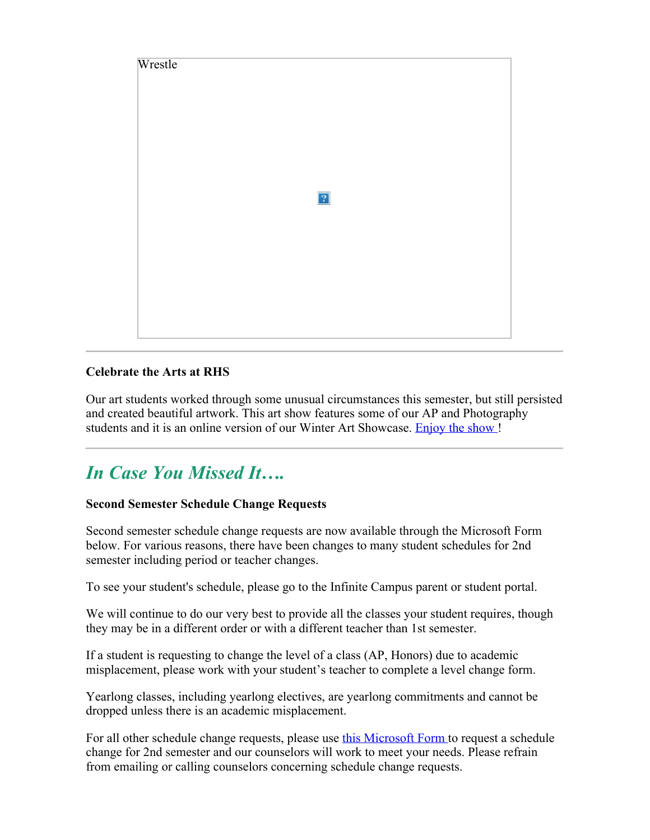

# **Celebrate the Arts at RHS**

Our art students worked through some unusual circumstances this semester, but still persisted and created beautiful artwork. This art show features some of our AP and Photography students and it is an online version of our Winter Art Showcase. [Enjoy](https://nam11.safelinks.protection.outlook.com/?url=http%3A%2F%2Fwww.roswellhsart.com%2F&data=04%7C01%7Cmurphys%40fultonschools.org%7C869fc3b9ff974d4ccabf08d8b1ac9b3f%7C0cdcb19881694b70ba9fda7e3ba700c2%7C1%7C0%7C637454702215779527%7CUnknown%7CTWFpbGZsb3d8eyJWIjoiMC4wLjAwMDAiLCJQIjoiV2luMzIiLCJBTiI6Ik1haWwiLCJXVCI6Mn0%3D%7C1000&sdata=Sk90Twrq571EOY6F9uvV1pKPzR48%2F89nyc9n%2F1Bgkwg%3D&reserved=0) the show!

# *In Case You Missed It….*

# **Second Semester Schedule Change Requests**

Second semester schedule change requests are now available through the Microsoft Form below. For various reasons, there have been changes to many student schedules for 2nd semester including period or teacher changes.

To see your student's schedule, please go to the Infinite Campus parent or student portal.

We will continue to do our very best to provide all the classes your student requires, though they may be in a different order or with a different teacher than 1st semester.

If a student is requesting to change the level of a class (AP, Honors) due to academic misplacement, please work with your student's teacher to complete a level change form.

Yearlong classes, including yearlong electives, are yearlong commitments and cannot be dropped unless there is an academic misplacement.

For all other schedule change requests, please use this [Microsoft](https://forms.office.com/Pages/ResponsePage.aspx?id=mLHcDGmBcEu6n9p-O6cAwuGxth5R32JEjv1NWDCc-69UMlhCRkVMUDBNUVBaQlI2NjlWREdHMTA1Mi4u) Form to request a schedule change for 2nd semester and our counselors will work to meet your needs. Please refrain from emailing or calling counselors concerning schedule change requests.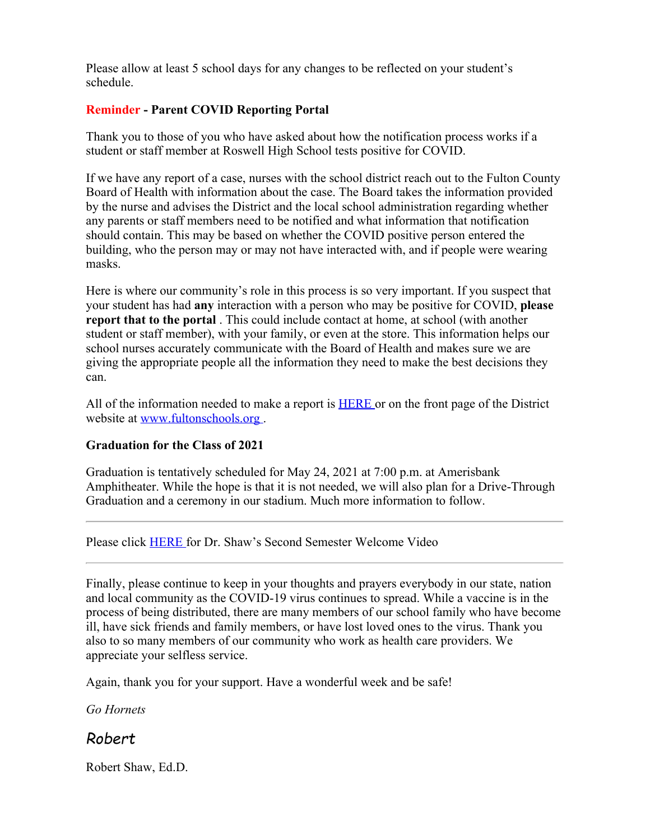Please allow at least 5 school days for any changes to be reflected on your student's schedule.

# **Reminder - Parent COVID Reporting Portal**

Thank you to those of you who have asked about how the notification process works if a student or staff member at Roswell High School tests positive for COVID.

If we have any report of a case, nurses with the school district reach out to the Fulton County Board of Health with information about the case. The Board takes the information provided by the nurse and advises the District and the local school administration regarding whether any parents or staff members need to be notified and what information that notification should contain. This may be based on whether the COVID positive person entered the building, who the person may or may not have interacted with, and if people were wearing masks.

Here is where our community's role in this process is so very important. If you suspect that your student has had **any** interaction with a person who may be positive for COVID, **please report that to the portal** . This could include contact at home, at school (with another student or staff member), with your family, or even at the store. This information helps our school nurses accurately communicate with the Board of Health and makes sure we are giving the appropriate people all the information they need to make the best decisions they can.

All of the information needed to make a report is [HERE](https://nam11.safelinks.protection.outlook.com/?url=https%3A%2F%2Ffultonschools.az1.qualtrics.com%2Fjfe%2Fform%2FSV_6hWlX46FNk8pNlz&data=04%7C01%7Cmurphys%40fultonschools.org%7C869fc3b9ff974d4ccabf08d8b1ac9b3f%7C0cdcb19881694b70ba9fda7e3ba700c2%7C1%7C0%7C637454702215779527%7CUnknown%7CTWFpbGZsb3d8eyJWIjoiMC4wLjAwMDAiLCJQIjoiV2luMzIiLCJBTiI6Ik1haWwiLCJXVCI6Mn0%3D%7C1000&sdata=pq3vc0IxkkH%2B4FPzNMn1Tu0UIJnb8uvkXkjODMh%2B9gA%3D&reserved=0) or on the front page of the District website at [www.fultonschools.org](http://www.fultonschools.org/).

# **Graduation for the Class of 2021**

Graduation is tentatively scheduled for May 24, 2021 at 7:00 p.m. at Amerisbank Amphitheater. While the hope is that it is not needed, we will also plan for a Drive-Through Graduation and a ceremony in our stadium. Much more information to follow.

Please click [HERE](https://nam11.safelinks.protection.outlook.com/?url=https%3A%2F%2Fyoutu.be%2FlxFuov3AXOo&data=04%7C01%7Cmurphys%40fultonschools.org%7C869fc3b9ff974d4ccabf08d8b1ac9b3f%7C0cdcb19881694b70ba9fda7e3ba700c2%7C1%7C0%7C637454702215789527%7CUnknown%7CTWFpbGZsb3d8eyJWIjoiMC4wLjAwMDAiLCJQIjoiV2luMzIiLCJBTiI6Ik1haWwiLCJXVCI6Mn0%3D%7C1000&sdata=MBWHDuZwiweJQhfqyrSYEoX6bsVgb3Qrkh1xWvmjUEU%3D&reserved=0) for Dr. Shaw's Second Semester Welcome Video

Finally, please continue to keep in your thoughts and prayers everybody in our state, nation and local community as the COVID-19 virus continues to spread. While a vaccine is in the process of being distributed, there are many members of our school family who have become ill, have sick friends and family members, or have lost loved ones to the virus. Thank you also to so many members of our community who work as health care providers. We appreciate your selfless service.

Again, thank you for your support. Have a wonderful week and be safe!

*Go Hornets*

# *Robert*

Robert Shaw, Ed.D.